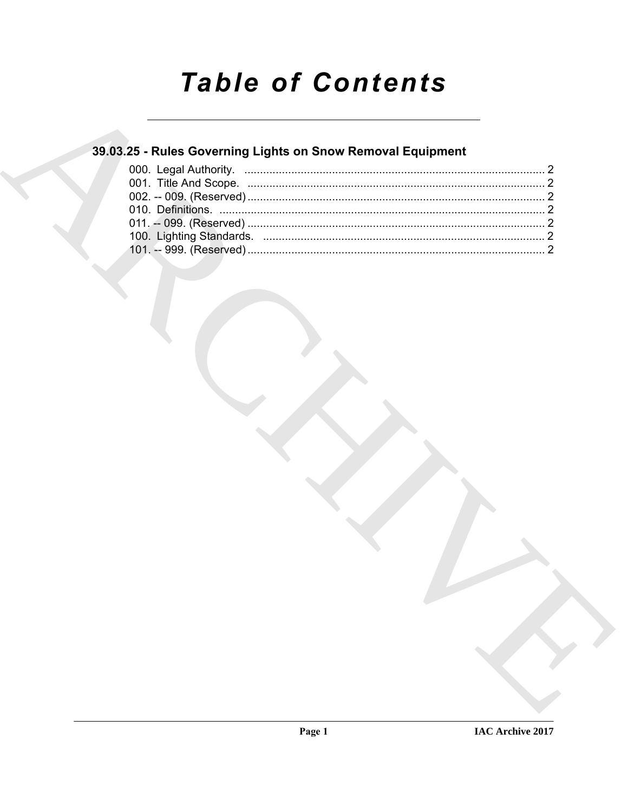# **Table of Contents**

### 39.03.25 - Rules Governing Lights on Snow Removal Equipment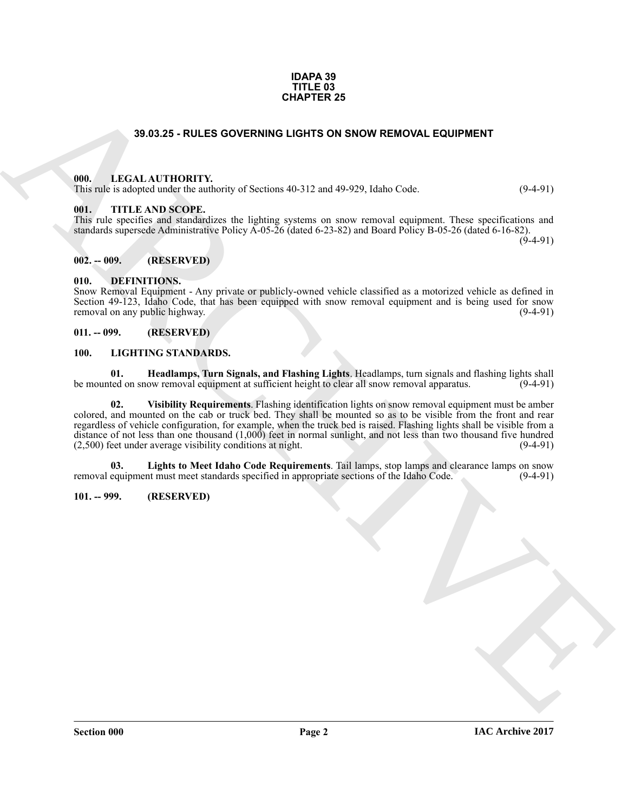#### **IDAPA 39 TITLE 03 CHAPTER 25**

#### **39.03.25 - RULES GOVERNING LIGHTS ON SNOW REMOVAL EQUIPMENT**

#### <span id="page-1-1"></span><span id="page-1-0"></span>**000. LEGAL AUTHORITY.**

This rule is adopted under the authority of Sections 40-312 and 49-929, Idaho Code. (9-4-91)

#### <span id="page-1-2"></span>**001. TITLE AND SCOPE.**

This rule specifies and standardizes the lighting systems on snow removal equipment. These specifications and standards supersede Administrative Policy A-05-26 (dated 6-23-82) and Board Policy B-05-26 (dated 6-16-82).

 $(9-4-91)$ 

#### <span id="page-1-3"></span>**002. -- 009. (RESERVED)**

#### <span id="page-1-8"></span><span id="page-1-4"></span>**010. DEFINITIONS.**

Snow Removal Equipment - Any private or publicly-owned vehicle classified as a motorized vehicle as defined in Section 49-123, Idaho Code, that has been equipped with snow removal equipment and is being used for snow removal on any public highway. removal on any public highway.

#### <span id="page-1-5"></span>**011. -- 099. (RESERVED)**

#### <span id="page-1-9"></span><span id="page-1-6"></span>**100. LIGHTING STANDARDS.**

<span id="page-1-12"></span><span id="page-1-10"></span>**01. Headlamps, Turn Signals, and Flashing Lights**. Headlamps, turn signals and flashing lights shall be mounted on snow removal equipment at sufficient height to clear all snow removal apparatus.

**SHOLES GOVERNING LIGHTS CENT CONVERSE CONTROLLED AND ARCHIVES CONTROLLED CONTROLLED (S. 1973)**<br>
THE CHIRAL AUTHORITY WAS CREATED AND SERVE AND SERVE AND COLLED CONTROLLED (S. 1973)<br>
THE CHIRAL AUTHORITY OF SCIENCING CONT **02. Visibility Requirements**. Flashing identification lights on snow removal equipment must be amber colored, and mounted on the cab or truck bed. They shall be mounted so as to be visible from the front and rear regardless of vehicle configuration, for example, when the truck bed is raised. Flashing lights shall be visible from a distance of not less than one thousand (1,000) feet in normal sunlight, and not less than two thousand five hundred (2,500) feet under average visibility conditions at night. (9-4-91)

<span id="page-1-11"></span>**03.** Lights to Meet Idaho Code Requirements. Tail lamps, stop lamps and clearance lamps on snow equipment must meet standards specified in appropriate sections of the Idaho Code. (9-4-91) removal equipment must meet standards specified in appropriate sections of the Idaho Code.

#### <span id="page-1-7"></span>**101. -- 999. (RESERVED)**